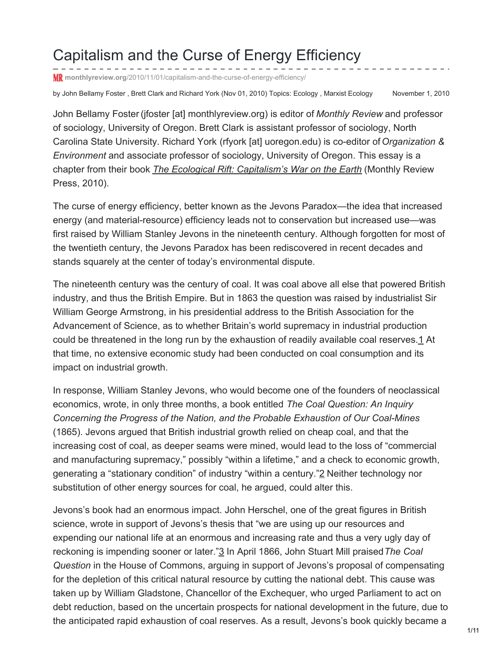# Capitalism and the Curse of Energy Efficiency

**monthlyreview.org**[/2010/11/01/capitalism-and-the-curse-of-energy-efficiency/](https://monthlyreview.org/2010/11/01/capitalism-and-the-curse-of-energy-efficiency/)

by John Bellamy Foster , Brett Clark and Richard York (Nov 01, 2010) Topics: Ecology , Marxist Ecology November 1, 2010

John Bellamy Foster (jfoster [at] monthlyreview.org) is editor of *Monthly Review* and professor of sociology, University of Oregon. Brett Clark is assistant professor of sociology, North Carolina State University. Richard York (rfyork [at] uoregon.edu) is co-editor of*Organization & Environment* and associate professor of sociology, University of Oregon. This essay is a chapter from their book *The Ecological Rift: [Capitalism's](https://monthlyreview.org/product/ecological_rift/) War on the Earth* (Monthly Review Press, 2010).

The curse of energy efficiency, better known as the Jevons Paradox—the idea that increased energy (and material-resource) efficiency leads not to conservation but increased use—was first raised by William Stanley Jevons in the nineteenth century. Although forgotten for most of the twentieth century, the Jevons Paradox has been rediscovered in recent decades and stands squarely at the center of today's environmental dispute.

The nineteenth century was the century of coal. It was coal above all else that powered British industry, and thus the British Empire. But in 1863 the question was raised by industrialist Sir William George Armstrong, in his presidential address to the British Association for the Advancement of Science, as to whether Britain's world supremacy in industrial production could be threatened in the long run by the exhaustion of readily available coal reserves[.1](https://monthlyreview.org/2010/11/01/capitalism-and-the-curse-of-energy-efficiency/#en95) At that time, no extensive economic study had been conducted on coal consumption and its impact on industrial growth.

In response, William Stanley Jevons, who would become one of the founders of neoclassical economics, wrote, in only three months, a book entitled *The Coal Question: An Inquiry Concerning the Progress of the Nation, and the Probable Exhaustion of Our Coal-Mines* (1865). Jevons argued that British industrial growth relied on cheap coal, and that the increasing cost of coal, as deeper seams were mined, would lead to the loss of "commercial and manufacturing supremacy," possibly "within a lifetime," and a check to economic growth, generating a "stationary condition" of industry "within a century."<sup>2</sup> Neither technology nor substitution of other energy sources for coal, he argued, could alter this.

Jevons's book had an enormous impact. John Herschel, one of the great figures in British science, wrote in support of Jevons's thesis that "we are using up our resources and expending our national life at an enormous and increasing rate and thus a very ugly day of reckoning is impending sooner or later.["3](https://monthlyreview.org/2010/11/01/capitalism-and-the-curse-of-energy-efficiency/#en93) In April 1866, John Stuart Mill praised*The Coal Question* in the House of Commons, arguing in support of Jevons's proposal of compensating for the depletion of this critical natural resource by cutting the national debt. This cause was taken up by William Gladstone, Chancellor of the Exchequer, who urged Parliament to act on debt reduction, based on the uncertain prospects for national development in the future, due to the anticipated rapid exhaustion of coal reserves. As a result, Jevons's book quickly became a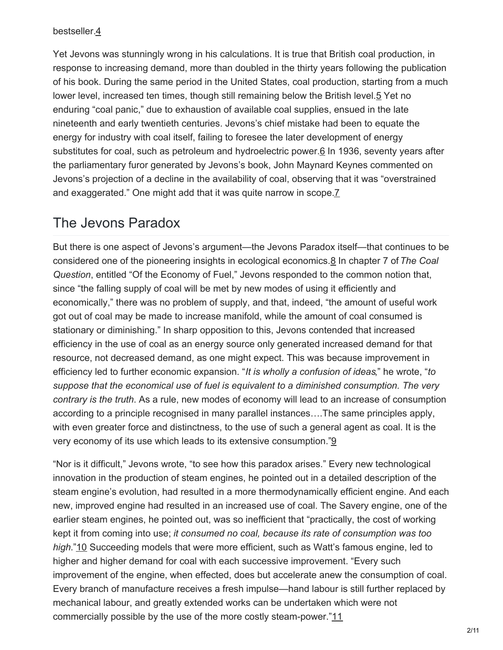#### bestseller.[4](https://monthlyreview.org/2010/11/01/capitalism-and-the-curse-of-energy-efficiency/#en92)

Yet Jevons was stunningly wrong in his calculations. It is true that British coal production, in response to increasing demand, more than doubled in the thirty years following the publication of his book. During the same period in the United States, coal production, starting from a much lower level, increased ten times, though still remaining below the British level.<sup>5</sup> Yet no enduring "coal panic," due to exhaustion of available coal supplies, ensued in the late nineteenth and early twentieth centuries. Jevons's chief mistake had been to equate the energy for industry with coal itself, failing to foresee the later development of energy substitutes for coal, such as petroleum and hydroelectric power[.6](https://monthlyreview.org/2010/11/01/capitalism-and-the-curse-of-energy-efficiency/#en90) In 1936, seventy years after the parliamentary furor generated by Jevons's book, John Maynard Keynes commented on Jevons's projection of a decline in the availability of coal, observing that it was "overstrained and exaggerated." One might add that it was quite narrow in scope. 7

## The Jevons Paradox

But there is one aspect of Jevons's argument—the Jevons Paradox itself—that continues to be considered one of the pioneering insights in ecological economics[.8](https://monthlyreview.org/2010/11/01/capitalism-and-the-curse-of-energy-efficiency/#en88) In chapter 7 of*The Coal Question*, entitled "Of the Economy of Fuel," Jevons responded to the common notion that, since "the falling supply of coal will be met by new modes of using it efficiently and economically," there was no problem of supply, and that, indeed, "the amount of useful work got out of coal may be made to increase manifold, while the amount of coal consumed is stationary or diminishing." In sharp opposition to this, Jevons contended that increased efficiency in the use of coal as an energy source only generated increased demand for that resource, not decreased demand, as one might expect. This was because improvement in efficiency led to further economic expansion. "*It is wholly a confusion of ideas*," he wrote, "*to suppose that the economical use of fuel is equivalent to a diminished consumption. The very contrary is the truth*. As a rule, new modes of economy will lead to an increase of consumption according to a principle recognised in many parallel instances….The same principles apply, with even greater force and distinctness, to the use of such a general agent as coal. It is the very economy of its use which leads to its extensive consumption."<sup>9</sup>

"Nor is it difficult," Jevons wrote, "to see how this paradox arises." Every new technological innovation in the production of steam engines, he pointed out in a detailed description of the steam engine's evolution, had resulted in a more thermodynamically efficient engine. And each new, improved engine had resulted in an increased use of coal. The Savery engine, one of the earlier steam engines, he pointed out, was so inefficient that "practically, the cost of working kept it from coming into use; *it consumed no coal, because its rate of consumption was too high*."[10](https://monthlyreview.org/2010/11/01/capitalism-and-the-curse-of-energy-efficiency/#en86) Succeeding models that were more efficient, such as Watt's famous engine, led to higher and higher demand for coal with each successive improvement. "Every such improvement of the engine, when effected, does but accelerate anew the consumption of coal. Every branch of manufacture receives a fresh impulse—hand labour is still further replaced by mechanical labour, and greatly extended works can be undertaken which were not commercially possible by the use of the more costly steam-power.["11](https://monthlyreview.org/2010/11/01/capitalism-and-the-curse-of-energy-efficiency/#en85)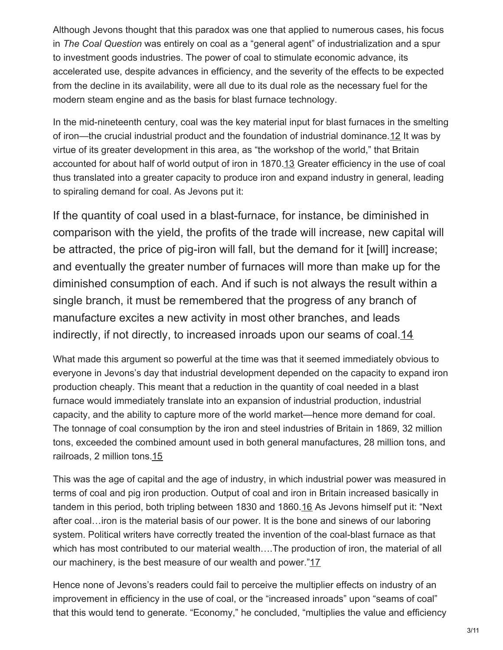Although Jevons thought that this paradox was one that applied to numerous cases, his focus in *The Coal Question* was entirely on coal as a "general agent" of industrialization and a spur to investment goods industries. The power of coal to stimulate economic advance, its accelerated use, despite advances in efficiency, and the severity of the effects to be expected from the decline in its availability, were all due to its dual role as the necessary fuel for the modern steam engine and as the basis for blast furnace technology.

In the mid-nineteenth century, coal was the key material input for blast furnaces in the smelting of iron—the crucial industrial product and the foundation of industrial dominance.[12](https://monthlyreview.org/2010/11/01/capitalism-and-the-curse-of-energy-efficiency/#en84) It was by virtue of its greater development in this area, as "the workshop of the world," that Britain accounted for about half of world output of iron in 1870[.13](https://monthlyreview.org/2010/11/01/capitalism-and-the-curse-of-energy-efficiency/#en83) Greater efficiency in the use of coal thus translated into a greater capacity to produce iron and expand industry in general, leading to spiraling demand for coal. As Jevons put it:

If the quantity of coal used in a blast-furnace, for instance, be diminished in comparison with the yield, the profits of the trade will increase, new capital will be attracted, the price of pig-iron will fall, but the demand for it [will] increase; and eventually the greater number of furnaces will more than make up for the diminished consumption of each. And if such is not always the result within a single branch, it must be remembered that the progress of any branch of manufacture excites a new activity in most other branches, and leads indirectly, if not directly, to increased inroads upon our seams of coal[.14](https://monthlyreview.org/2010/11/01/capitalism-and-the-curse-of-energy-efficiency/#en82)

What made this argument so powerful at the time was that it seemed immediately obvious to everyone in Jevons's day that industrial development depended on the capacity to expand iron production cheaply. This meant that a reduction in the quantity of coal needed in a blast furnace would immediately translate into an expansion of industrial production, industrial capacity, and the ability to capture more of the world market—hence more demand for coal. The tonnage of coal consumption by the iron and steel industries of Britain in 1869, 32 million tons, exceeded the combined amount used in both general manufactures, 28 million tons, and railroads, 2 million tons[.15](https://monthlyreview.org/2010/11/01/capitalism-and-the-curse-of-energy-efficiency/#en81)

This was the age of capital and the age of industry, in which industrial power was measured in terms of coal and pig iron production. Output of coal and iron in Britain increased basically in tandem in this period, both tripling between 1830 and 1860[.16](https://monthlyreview.org/2010/11/01/capitalism-and-the-curse-of-energy-efficiency/#en80) As Jevons himself put it: "Next after coal…iron is the material basis of our power. It is the bone and sinews of our laboring system. Political writers have correctly treated the invention of the coal-blast furnace as that which has most contributed to our material wealth….The production of iron, the material of all our machinery, is the best measure of our wealth and power.["17](https://monthlyreview.org/2010/11/01/capitalism-and-the-curse-of-energy-efficiency/#en79)

Hence none of Jevons's readers could fail to perceive the multiplier effects on industry of an improvement in efficiency in the use of coal, or the "increased inroads" upon "seams of coal" that this would tend to generate. "Economy," he concluded, "multiplies the value and efficiency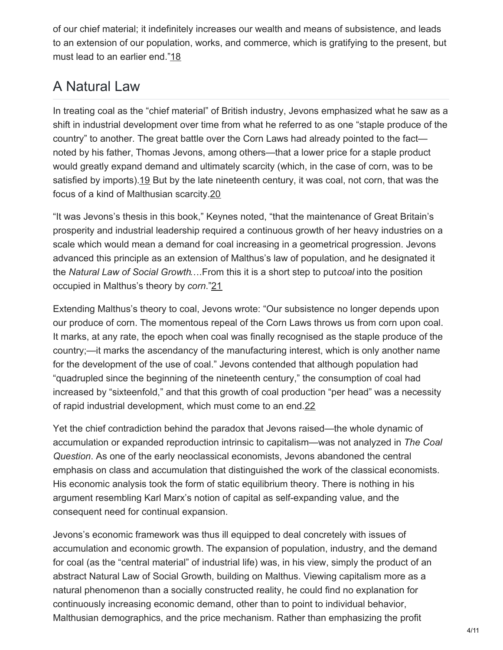of our chief material; it indefinitely increases our wealth and means of subsistence, and leads to an extension of our population, works, and commerce, which is gratifying to the present, but must lead to an earlier end.["18](https://monthlyreview.org/2010/11/01/capitalism-and-the-curse-of-energy-efficiency/#en78)

## A Natural Law

In treating coal as the "chief material" of British industry, Jevons emphasized what he saw as a shift in industrial development over time from what he referred to as one "staple produce of the country" to another. The great battle over the Corn Laws had already pointed to the fact noted by his father, Thomas Jevons, among others—that a lower price for a staple product would greatly expand demand and ultimately scarcity (which, in the case of corn, was to be satisfied by imports).<sup>19</sup> But by the late nineteenth century, it was coal, not corn, that was the focus of a kind of Malthusian scarcity[.20](https://monthlyreview.org/2010/11/01/capitalism-and-the-curse-of-energy-efficiency/#en76)

"It was Jevons's thesis in this book," Keynes noted, "that the maintenance of Great Britain's prosperity and industrial leadership required a continuous growth of her heavy industries on a scale which would mean a demand for coal increasing in a geometrical progression. Jevons advanced this principle as an extension of Malthus's law of population, and he designated it the *Natural Law of Social Growth*….From this it is a short step to put*coal* into the position occupied in Malthus's theory by *corn*.["21](https://monthlyreview.org/2010/11/01/capitalism-and-the-curse-of-energy-efficiency/#en75)

Extending Malthus's theory to coal, Jevons wrote: "Our subsistence no longer depends upon our produce of corn. The momentous repeal of the Corn Laws throws us from corn upon coal. It marks, at any rate, the epoch when coal was finally recognised as the staple produce of the country;—it marks the ascendancy of the manufacturing interest, which is only another name for the development of the use of coal." Jevons contended that although population had "quadrupled since the beginning of the nineteenth century," the consumption of coal had increased by "sixteenfold," and that this growth of coal production "per head" was a necessity of rapid industrial development, which must come to an end.<sup>[22](https://monthlyreview.org/2010/11/01/capitalism-and-the-curse-of-energy-efficiency/#en74)</sup>

Yet the chief contradiction behind the paradox that Jevons raised—the whole dynamic of accumulation or expanded reproduction intrinsic to capitalism—was not analyzed in *The Coal Question*. As one of the early neoclassical economists, Jevons abandoned the central emphasis on class and accumulation that distinguished the work of the classical economists. His economic analysis took the form of static equilibrium theory. There is nothing in his argument resembling Karl Marx's notion of capital as self-expanding value, and the consequent need for continual expansion.

Jevons's economic framework was thus ill equipped to deal concretely with issues of accumulation and economic growth. The expansion of population, industry, and the demand for coal (as the "central material" of industrial life) was, in his view, simply the product of an abstract Natural Law of Social Growth, building on Malthus. Viewing capitalism more as a natural phenomenon than a socially constructed reality, he could find no explanation for continuously increasing economic demand, other than to point to individual behavior, Malthusian demographics, and the price mechanism. Rather than emphasizing the profit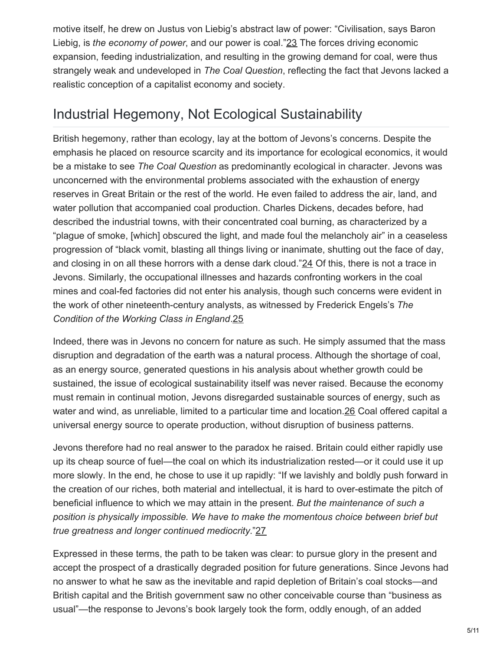motive itself, he drew on Justus von Liebig's abstract law of power: "Civilisation, says Baron Liebig, is *the economy of power*, and our power is coal.["23](https://monthlyreview.org/2010/11/01/capitalism-and-the-curse-of-energy-efficiency/#en73) The forces driving economic expansion, feeding industrialization, and resulting in the growing demand for coal, were thus strangely weak and undeveloped in *The Coal Question*, reflecting the fact that Jevons lacked a realistic conception of a capitalist economy and society.

## Industrial Hegemony, Not Ecological Sustainability

British hegemony, rather than ecology, lay at the bottom of Jevons's concerns. Despite the emphasis he placed on resource scarcity and its importance for ecological economics, it would be a mistake to see *The Coal Question* as predominantly ecological in character. Jevons was unconcerned with the environmental problems associated with the exhaustion of energy reserves in Great Britain or the rest of the world. He even failed to address the air, land, and water pollution that accompanied coal production. Charles Dickens, decades before, had described the industrial towns, with their concentrated coal burning, as characterized by a "plague of smoke, [which] obscured the light, and made foul the melancholy air" in a ceaseless progression of "black vomit, blasting all things living or inanimate, shutting out the face of day, and closing in on all these horrors with a dense dark cloud.["24](https://monthlyreview.org/2010/11/01/capitalism-and-the-curse-of-energy-efficiency/#en72) Of this, there is not a trace in Jevons. Similarly, the occupational illnesses and hazards confronting workers in the coal mines and coal-fed factories did not enter his analysis, though such concerns were evident in the work of other nineteenth-century analysts, as witnessed by Frederick Engels's *The Condition of the Working Class in England*[.25](https://monthlyreview.org/2010/11/01/capitalism-and-the-curse-of-energy-efficiency/#en71)

Indeed, there was in Jevons no concern for nature as such. He simply assumed that the mass disruption and degradation of the earth was a natural process. Although the shortage of coal, as an energy source, generated questions in his analysis about whether growth could be sustained, the issue of ecological sustainability itself was never raised. Because the economy must remain in continual motion, Jevons disregarded sustainable sources of energy, such as water and wind, as unreliable, limited to a particular time and location[.26](https://monthlyreview.org/2010/11/01/capitalism-and-the-curse-of-energy-efficiency/#en70) Coal offered capital a universal energy source to operate production, without disruption of business patterns.

Jevons therefore had no real answer to the paradox he raised. Britain could either rapidly use up its cheap source of fuel—the coal on which its industrialization rested—or it could use it up more slowly. In the end, he chose to use it up rapidly: "If we lavishly and boldly push forward in the creation of our riches, both material and intellectual, it is hard to over-estimate the pitch of beneficial influence to which we may attain in the present. *But the maintenance of such a position is physically impossible. We have to make the momentous choice between brief but true greatness and longer continued mediocrity*.["27](https://monthlyreview.org/2010/11/01/capitalism-and-the-curse-of-energy-efficiency/#en69)

Expressed in these terms, the path to be taken was clear: to pursue glory in the present and accept the prospect of a drastically degraded position for future generations. Since Jevons had no answer to what he saw as the inevitable and rapid depletion of Britain's coal stocks—and British capital and the British government saw no other conceivable course than "business as usual"—the response to Jevons's book largely took the form, oddly enough, of an added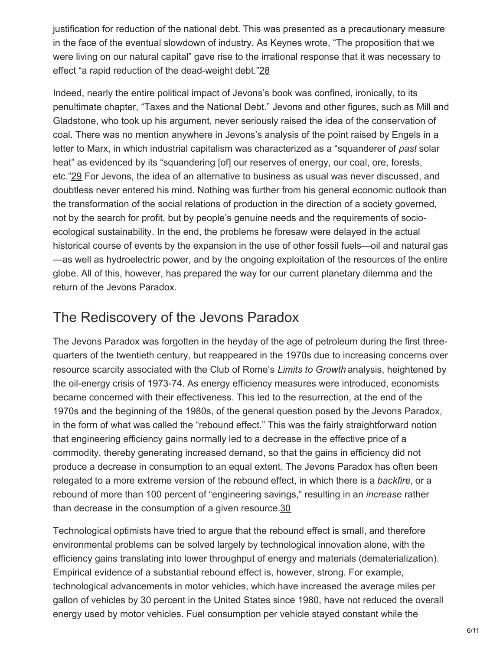justification for reduction of the national debt. This was presented as a precautionary measure in the face of the eventual slowdown of industry. As Keynes wrote, "The proposition that we were living on our natural capital" gave rise to the irrational response that it was necessary to effect "a rapid reduction of the dead-weight debt.["28](https://monthlyreview.org/2010/11/01/capitalism-and-the-curse-of-energy-efficiency/#en68)

Indeed, nearly the entire political impact of Jevons's book was confined, ironically, to its penultimate chapter, "Taxes and the National Debt." Jevons and other figures, such as Mill and Gladstone, who took up his argument, never seriously raised the idea of the conservation of coal. There was no mention anywhere in Jevons's analysis of the point raised by Engels in a letter to Marx, in which industrial capitalism was characterized as a "squanderer of *past* solar heat" as evidenced by its "squandering [of] our reserves of energy, our coal, ore, forests, etc.["29](https://monthlyreview.org/2010/11/01/capitalism-and-the-curse-of-energy-efficiency/#en67) For Jevons, the idea of an alternative to business as usual was never discussed, and doubtless never entered his mind. Nothing was further from his general economic outlook than the transformation of the social relations of production in the direction of a society governed, not by the search for profit, but by people's genuine needs and the requirements of socioecological sustainability. In the end, the problems he foresaw were delayed in the actual historical course of events by the expansion in the use of other fossil fuels—oil and natural gas —as well as hydroelectric power, and by the ongoing exploitation of the resources of the entire globe. All of this, however, has prepared the way for our current planetary dilemma and the return of the Jevons Paradox.

#### The Rediscovery of the Jevons Paradox

The Jevons Paradox was forgotten in the heyday of the age of petroleum during the first threequarters of the twentieth century, but reappeared in the 1970s due to increasing concerns over resource scarcity associated with the Club of Rome's *Limits to Growth* analysis, heightened by the oil-energy crisis of 1973-74. As energy efficiency measures were introduced, economists became concerned with their effectiveness. This led to the resurrection, at the end of the 1970s and the beginning of the 1980s, of the general question posed by the Jevons Paradox, in the form of what was called the "rebound effect." This was the fairly straightforward notion that engineering efficiency gains normally led to a decrease in the effective price of a commodity, thereby generating increased demand, so that the gains in efficiency did not produce a decrease in consumption to an equal extent. The Jevons Paradox has often been relegated to a more extreme version of the rebound effect, in which there is a *backfire*, or a rebound of more than 100 percent of "engineering savings," resulting in an *increase* rather than decrease in the consumption of a given resource[.30](https://monthlyreview.org/2010/11/01/capitalism-and-the-curse-of-energy-efficiency/#en66)

Technological optimists have tried to argue that the rebound effect is small, and therefore environmental problems can be solved largely by technological innovation alone, with the efficiency gains translating into lower throughput of energy and materials (dematerialization). Empirical evidence of a substantial rebound effect is, however, strong. For example, technological advancements in motor vehicles, which have increased the average miles per gallon of vehicles by 30 percent in the United States since 1980, have not reduced the overall energy used by motor vehicles. Fuel consumption per vehicle stayed constant while the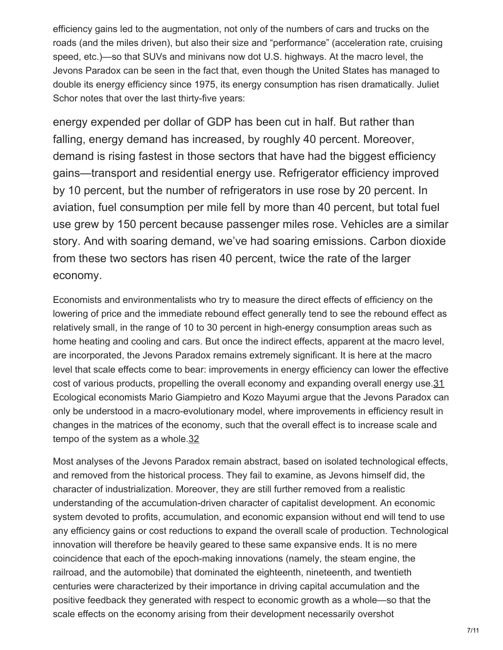efficiency gains led to the augmentation, not only of the numbers of cars and trucks on the roads (and the miles driven), but also their size and "performance" (acceleration rate, cruising speed, etc.)—so that SUVs and minivans now dot U.S. highways. At the macro level, the Jevons Paradox can be seen in the fact that, even though the United States has managed to double its energy efficiency since 1975, its energy consumption has risen dramatically. Juliet Schor notes that over the last thirty-five years:

energy expended per dollar of GDP has been cut in half. But rather than falling, energy demand has increased, by roughly 40 percent. Moreover, demand is rising fastest in those sectors that have had the biggest efficiency gains—transport and residential energy use. Refrigerator efficiency improved by 10 percent, but the number of refrigerators in use rose by 20 percent. In aviation, fuel consumption per mile fell by more than 40 percent, but total fuel use grew by 150 percent because passenger miles rose. Vehicles are a similar story. And with soaring demand, we've had soaring emissions. Carbon dioxide from these two sectors has risen 40 percent, twice the rate of the larger economy.

Economists and environmentalists who try to measure the direct effects of efficiency on the lowering of price and the immediate rebound effect generally tend to see the rebound effect as relatively small, in the range of 10 to 30 percent in high-energy consumption areas such as home heating and cooling and cars. But once the indirect effects, apparent at the macro level, are incorporated, the Jevons Paradox remains extremely significant. It is here at the macro level that scale effects come to bear: improvements in energy efficiency can lower the effective cost of various products, propelling the overall economy and expanding overall energy use.[31](https://monthlyreview.org/2010/11/01/capitalism-and-the-curse-of-energy-efficiency/#en65) Ecological economists Mario Giampietro and Kozo Mayumi argue that the Jevons Paradox can only be understood in a macro-evolutionary model, where improvements in efficiency result in changes in the matrices of the economy, such that the overall effect is to increase scale and tempo of the system as a whole[.32](https://monthlyreview.org/2010/11/01/capitalism-and-the-curse-of-energy-efficiency/#en64)

Most analyses of the Jevons Paradox remain abstract, based on isolated technological effects, and removed from the historical process. They fail to examine, as Jevons himself did, the character of industrialization. Moreover, they are still further removed from a realistic understanding of the accumulation-driven character of capitalist development. An economic system devoted to profits, accumulation, and economic expansion without end will tend to use any efficiency gains or cost reductions to expand the overall scale of production. Technological innovation will therefore be heavily geared to these same expansive ends. It is no mere coincidence that each of the epoch-making innovations (namely, the steam engine, the railroad, and the automobile) that dominated the eighteenth, nineteenth, and twentieth centuries were characterized by their importance in driving capital accumulation and the positive feedback they generated with respect to economic growth as a whole—so that the scale effects on the economy arising from their development necessarily overshot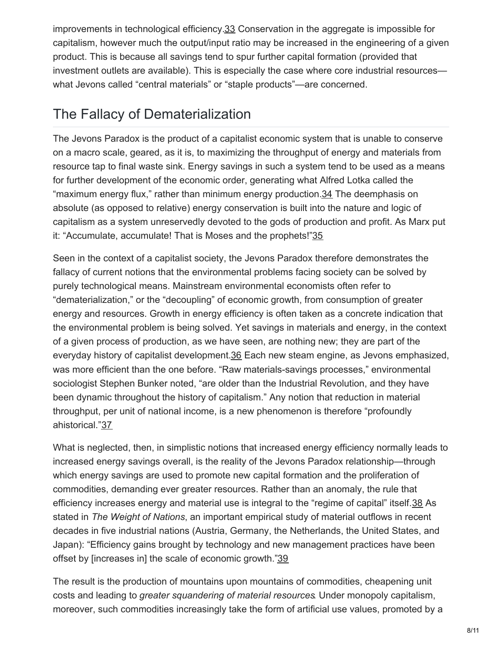improvements in technological efficiency[.33](https://monthlyreview.org/2010/11/01/capitalism-and-the-curse-of-energy-efficiency/#en63) Conservation in the aggregate is impossible for capitalism, however much the output/input ratio may be increased in the engineering of a given product. This is because all savings tend to spur further capital formation (provided that investment outlets are available). This is especially the case where core industrial resources what Jevons called "central materials" or "staple products"—are concerned.

## The Fallacy of Dematerialization

The Jevons Paradox is the product of a capitalist economic system that is unable to conserve on a macro scale, geared, as it is, to maximizing the throughput of energy and materials from resource tap to final waste sink. Energy savings in such a system tend to be used as a means for further development of the economic order, generating what Alfred Lotka called the "maximum energy flux," rather than minimum energy production. 34 The deemphasis on absolute (as opposed to relative) energy conservation is built into the nature and logic of capitalism as a system unreservedly devoted to the gods of production and profit. As Marx put it: "Accumulate, accumulate! That is Moses and the prophets!["35](https://monthlyreview.org/2010/11/01/capitalism-and-the-curse-of-energy-efficiency/#en61)

Seen in the context of a capitalist society, the Jevons Paradox therefore demonstrates the fallacy of current notions that the environmental problems facing society can be solved by purely technological means. Mainstream environmental economists often refer to "dematerialization," or the "decoupling" of economic growth, from consumption of greater energy and resources. Growth in energy efficiency is often taken as a concrete indication that the environmental problem is being solved. Yet savings in materials and energy, in the context of a given process of production, as we have seen, are nothing new; they are part of the everyday history of capitalist development. 36 Each new steam engine, as Jevons emphasized, was more efficient than the one before. "Raw materials-savings processes," environmental sociologist Stephen Bunker noted, "are older than the Industrial Revolution, and they have been dynamic throughout the history of capitalism." Any notion that reduction in material throughput, per unit of national income, is a new phenomenon is therefore "profoundly ahistorical.["37](https://monthlyreview.org/2010/11/01/capitalism-and-the-curse-of-energy-efficiency/#en59)

What is neglected, then, in simplistic notions that increased energy efficiency normally leads to increased energy savings overall, is the reality of the Jevons Paradox relationship—through which energy savings are used to promote new capital formation and the proliferation of commodities, demanding ever greater resources. Rather than an anomaly, the rule that efficiency increases energy and material use is integral to the "regime of capital" itself.[38](https://monthlyreview.org/2010/11/01/capitalism-and-the-curse-of-energy-efficiency/#en58) As stated in *The Weight of Nations*, an important empirical study of material outflows in recent decades in five industrial nations (Austria, Germany, the Netherlands, the United States, and Japan): "Efficiency gains brought by technology and new management practices have been offset by [increases in] the scale of economic growth.["39](https://monthlyreview.org/2010/11/01/capitalism-and-the-curse-of-energy-efficiency/#en57)

The result is the production of mountains upon mountains of commodities, cheapening unit costs and leading to *greater squandering of material resources*. Under monopoly capitalism, moreover, such commodities increasingly take the form of artificial use values, promoted by a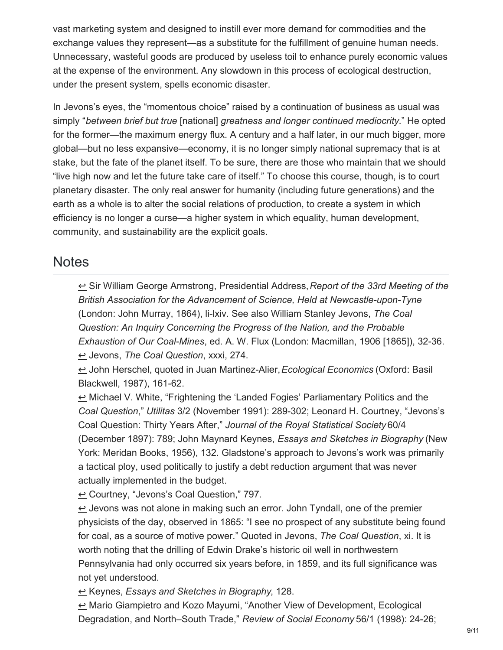vast marketing system and designed to instill ever more demand for commodities and the exchange values they represent—as a substitute for the fulfillment of genuine human needs. Unnecessary, wasteful goods are produced by useless toil to enhance purely economic values at the expense of the environment. Any slowdown in this process of ecological destruction, under the present system, spells economic disaster.

In Jevons's eyes, the "momentous choice" raised by a continuation of business as usual was simply "*between brief but true* [national] *greatness and longer continued mediocrity*." He opted for the former—the maximum energy flux. A century and a half later, in our much bigger, more global—but no less expansive—economy, it is no longer simply national supremacy that is at stake, but the fate of the planet itself. To be sure, there are those who maintain that we should "live high now and let the future take care of itself." To choose this course, though, is to court planetary disaster. The only real answer for humanity (including future generations) and the earth as a whole is to alter the social relations of production, to create a system in which efficiency is no longer a curse—a higher system in which equality, human development, community, and sustainability are the explicit goals.

#### **Notes**

[↩](https://monthlyreview.org/2010/11/01/capitalism-and-the-curse-of-energy-efficiency/#fn95) Sir William George Armstrong, Presidential Address,*Report of the 33rd Meeting of the British Association for the Advancement of Science, Held at Newcastle-upon-Tyne* (London: John Murray, 1864), li-lxiv. See also William Stanley Jevons, *The Coal Question: An Inquiry Concerning the Progress of the Nation, and the Probable Exhaustion of Our Coal-Mines*, ed. A. W. Flux (London: Macmillan, 1906 [1865]), 32-36. [↩](https://monthlyreview.org/2010/11/01/capitalism-and-the-curse-of-energy-efficiency/#fn94) Jevons, *The Coal Question*, xxxi, 274.

[↩](https://monthlyreview.org/2010/11/01/capitalism-and-the-curse-of-energy-efficiency/#fn93) John Herschel, quoted in Juan Martinez-Alier,*Ecological Economics* (Oxford: Basil Blackwell, 1987), 161-62.

 $\leftrightarrow$  Michael V. White, "Frightening the 'Landed Fogies' Parliamentary Politics and the *Coal Question*," *Utilitas* 3/2 (November 1991): 289-302; Leonard H. Courtney, "Jevons's Coal Question: Thirty Years After," *Journal of the Royal Statistical Society* 60/4 (December 1897): 789; John Maynard Keynes, *Essays and Sketches in Biography* (New York: Meridan Books, 1956), 132. Gladstone's approach to Jevons's work was primarily a tactical ploy, used politically to justify a debt reduction argument that was never actually implemented in the budget.

[↩](https://monthlyreview.org/2010/11/01/capitalism-and-the-curse-of-energy-efficiency/#fn91) Courtney, "Jevons's Coal Question," 797.

 $\leftrightarrow$  Jevons was not alone in making such an error. John Tyndall, one of the premier physicists of the day, observed in 1865: "I see no prospect of any substitute being found for coal, as a source of motive power." Quoted in Jevons, *The Coal Question*, xi. It is worth noting that the drilling of Edwin Drake's historic oil well in northwestern Pennsylvania had only occurred six years before, in 1859, and its full significance was not yet understood.

[↩](https://monthlyreview.org/2010/11/01/capitalism-and-the-curse-of-energy-efficiency/#fn89) Keynes, *Essays and Sketches in Biography*, 128.

 $\leftrightarrow$  Mario Giampietro and Kozo Mayumi, "Another View of Development, Ecological Degradation, and North–South Trade," *Review of Social Economy* 56/1 (1998): 24-26;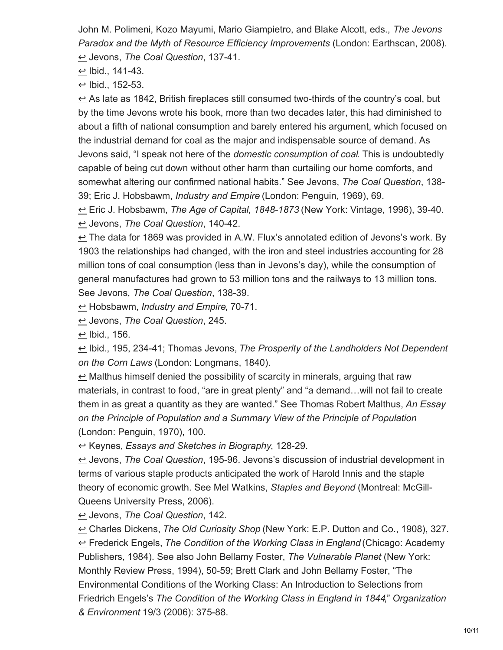John M. Polimeni, Kozo Mayumi, Mario Giampietro, and Blake Alcott, eds., *The Jevons Paradox and the Myth of Resource Efficiency Improvements* (London: Earthscan, 2008). [↩](https://monthlyreview.org/2010/11/01/capitalism-and-the-curse-of-energy-efficiency/#fn87) Jevons, *The Coal Question*, 137-41.

 $\leftrightarrow$  Ibid., 141-43.

 $\le$  Ibid., 152-53.

 $\leftrightarrow$  As late as 1842, British fireplaces still consumed two-thirds of the country's coal, but by the time Jevons wrote his book, more than two decades later, this had diminished to about a fifth of national consumption and barely entered his argument, which focused on the industrial demand for coal as the major and indispensable source of demand. As Jevons said, "I speak not here of the *domestic consumption of coal*. This is undoubtedly capable of being cut down without other harm than curtailing our home comforts, and somewhat altering our confirmed national habits." See Jevons, *The Coal Question*, 138- 39; Eric J. Hobsbawm, *Industry and Empire* (London: Penguin, 1969), 69.

[↩](https://monthlyreview.org/2010/11/01/capitalism-and-the-curse-of-energy-efficiency/#fn83) Eric J. Hobsbawm, *The Age of Capital, 1848-1873* (New York: Vintage, 1996), 39-40. [↩](https://monthlyreview.org/2010/11/01/capitalism-and-the-curse-of-energy-efficiency/#fn82) Jevons, *The Coal Question*, 140-42.

 $\leq$  The data for 1869 was provided in A.W. Flux's annotated edition of Jevons's work. By 1903 the relationships had changed, with the iron and steel industries accounting for 28 million tons of coal consumption (less than in Jevons's day), while the consumption of general manufactures had grown to 53 million tons and the railways to 13 million tons. See Jevons, *The Coal Question*, 138-39.

[↩](https://monthlyreview.org/2010/11/01/capitalism-and-the-curse-of-energy-efficiency/#fn80) Hobsbawm, *Industry and Empire*, 70-71.

[↩](https://monthlyreview.org/2010/11/01/capitalism-and-the-curse-of-energy-efficiency/#fn79) Jevons, *The Coal Question*, 245.

 $\leftrightarrow$  Ibid., 156.

[↩](https://monthlyreview.org/2010/11/01/capitalism-and-the-curse-of-energy-efficiency/#fn77) Ibid., 195, 234-41; Thomas Jevons, *The Prosperity of the Landholders Not Dependent on the Corn Laws* (London: Longmans, 1840).

 $\leftrightarrow$  Malthus himself denied the possibility of scarcity in minerals, arguing that raw materials, in contrast to food, "are in great plenty" and "a demand…will not fail to create them in as great a quantity as they are wanted." See Thomas Robert Malthus, *An Essay on the Principle of Population and a Summary View of the Principle of Population* (London: Penguin, 1970), 100.

[↩](https://monthlyreview.org/2010/11/01/capitalism-and-the-curse-of-energy-efficiency/#fn75) Keynes, *Essays and Sketches in Biography*, 128-29.

[↩](https://monthlyreview.org/2010/11/01/capitalism-and-the-curse-of-energy-efficiency/#fn74) Jevons, *The Coal Question*, 195-96. Jevons's discussion of industrial development in terms of various staple products anticipated the work of Harold Innis and the staple theory of economic growth. See Mel Watkins, *Staples and Beyond* (Montreal: McGill-Queens University Press, 2006).

[↩](https://monthlyreview.org/2010/11/01/capitalism-and-the-curse-of-energy-efficiency/#fn73) Jevons, *The Coal Question*, 142.

[↩](https://monthlyreview.org/2010/11/01/capitalism-and-the-curse-of-energy-efficiency/#fn72) Charles Dickens, *The Old Curiosity Shop* (New York: E.P. Dutton and Co., 1908), 327. [↩](https://monthlyreview.org/2010/11/01/capitalism-and-the-curse-of-energy-efficiency/#fn71) Frederick Engels, *The Condition of the Working Class in England* (Chicago: Academy Publishers, 1984). See also John Bellamy Foster, *The Vulnerable Planet* (New York: Monthly Review Press, 1994), 50-59; Brett Clark and John Bellamy Foster, "The Environmental Conditions of the Working Class: An Introduction to Selections from Friedrich Engels's *The Condition of the Working Class in England in 1844*," *Organization & Environment* 19/3 (2006): 375-88.